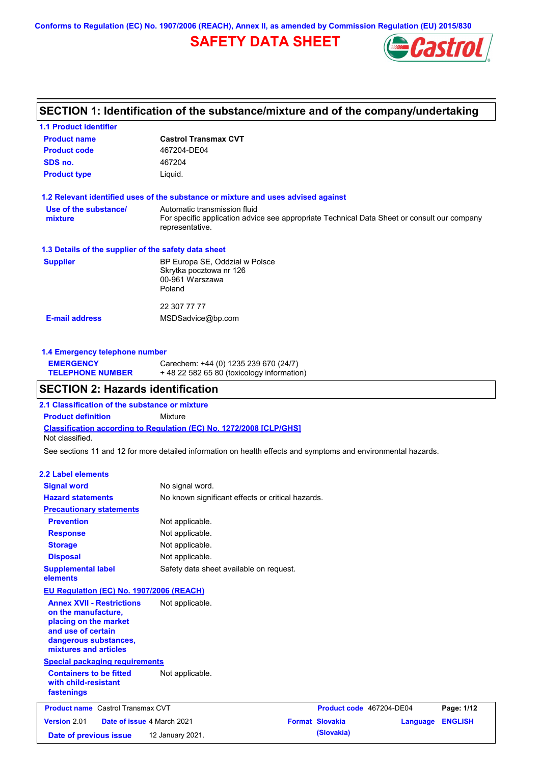# **SAFETY DATA SHEET**



# **SECTION 1: Identification of the substance/mixture and of the company/undertaking**

| <b>1.1 Product identifier</b>                        |                                                                                                                                                |
|------------------------------------------------------|------------------------------------------------------------------------------------------------------------------------------------------------|
| <b>Product name</b>                                  | <b>Castrol Transmax CVT</b>                                                                                                                    |
| <b>Product code</b>                                  | 467204-DE04                                                                                                                                    |
| SDS no.                                              | 467204                                                                                                                                         |
| <b>Product type</b>                                  | Liquid.                                                                                                                                        |
|                                                      | 1.2 Relevant identified uses of the substance or mixture and uses advised against                                                              |
| Use of the substance/<br>mixture                     | Automatic transmission fluid<br>For specific application advice see appropriate Technical Data Sheet or consult our company<br>representative. |
| 1.3 Details of the supplier of the safety data sheet |                                                                                                                                                |
| <b>Supplier</b>                                      | BP Europa SE, Oddział w Polsce<br>Skrytka pocztowa nr 126<br>00-961 Warszawa<br>Poland                                                         |
| <b>E-mail address</b>                                | 22 307 77 77<br>MSDSadvice@bp.com                                                                                                              |

### **1.4 Emergency telephone number**

| <b>EMERGENCY</b>        | Carechem: +44 (0) 1235 239 670 (24/7)     |
|-------------------------|-------------------------------------------|
| <b>TELEPHONE NUMBER</b> | +48 22 582 65 80 (toxicology information) |

## **SECTION 2: Hazards identification**

**2.1 Classification of the substance or mixture**

**Classification according to Regulation (EC) No. 1272/2008 [CLP/GHS] Product definition** Mixture Not classified.

See sections 11 and 12 for more detailed information on health effects and symptoms and environmental hazards.

#### **2.2 Label elements**

| <b>Signal word</b>                                                                                                                                       | No signal word.                                   |                          |          |                |
|----------------------------------------------------------------------------------------------------------------------------------------------------------|---------------------------------------------------|--------------------------|----------|----------------|
| <b>Hazard statements</b>                                                                                                                                 | No known significant effects or critical hazards. |                          |          |                |
| <b>Precautionary statements</b>                                                                                                                          |                                                   |                          |          |                |
| <b>Prevention</b>                                                                                                                                        | Not applicable.                                   |                          |          |                |
| <b>Response</b>                                                                                                                                          | Not applicable.                                   |                          |          |                |
| <b>Storage</b>                                                                                                                                           | Not applicable.                                   |                          |          |                |
| <b>Disposal</b>                                                                                                                                          | Not applicable.                                   |                          |          |                |
| <b>Supplemental label</b><br>elements                                                                                                                    | Safety data sheet available on request.           |                          |          |                |
| <b>EU Regulation (EC) No. 1907/2006 (REACH)</b>                                                                                                          |                                                   |                          |          |                |
| <b>Annex XVII - Restrictions</b><br>on the manufacture,<br>placing on the market<br>and use of certain<br>dangerous substances,<br>mixtures and articles | Not applicable.                                   |                          |          |                |
| <b>Special packaging requirements</b>                                                                                                                    |                                                   |                          |          |                |
| <b>Containers to be fitted</b><br>with child-resistant<br>fastenings                                                                                     | Not applicable.                                   |                          |          |                |
| <b>Product name</b> Castrol Transmax CVT                                                                                                                 |                                                   | Product code 467204-DE04 |          | Page: 1/12     |
| Version 2.01<br>Date of issue 4 March 2021                                                                                                               |                                                   | <b>Format Slovakia</b>   | Language | <b>ENGLISH</b> |
| Date of previous issue                                                                                                                                   | 12 January 2021.                                  | (Slovakia)               |          |                |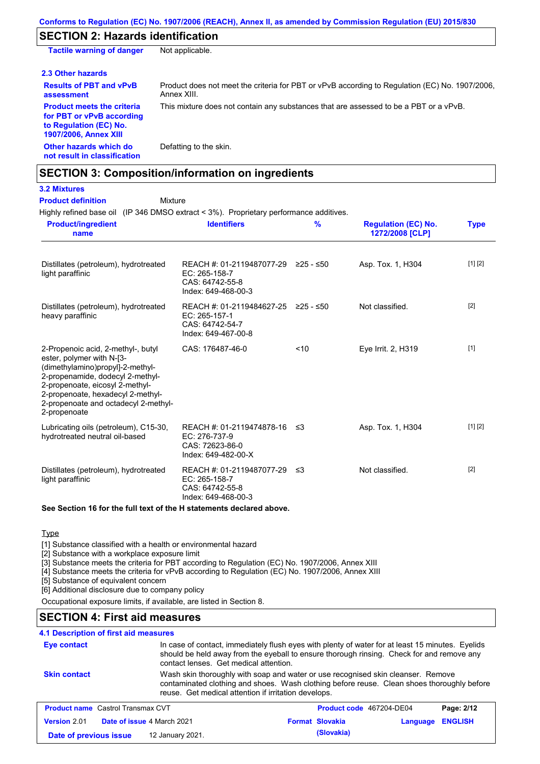## **SECTION 2: Hazards identification**

**Tactile warning of danger** Not applicable.

**2.3 Other hazards**

**assessment**

**Results of PBT and vPvB**  Product does not meet the criteria for PBT or vPvB according to Regulation (EC) No. 1907/2006, Annex XIII. This mixture does not contain any substances that are assessed to be a PBT or a vPvB.

**Product meets the criteria for PBT or vPvB according to Regulation (EC) No. 1907/2006, Annex XIII**

**Other hazards which do** 

Defatting to the skin.

# **not result in classification**

**Product definition**

## **SECTION 3: Composition/information on ingredients**

## **3.2 Mixtures**

**Mixture** 

Highly refined base oil (IP 346 DMSO extract < 3%). Proprietary performance additives.

| <b>Product/ingredient</b><br>name                                                                                                                                                                                                                                       | <b>Identifiers</b>                                                                   | $\frac{9}{6}$ | <b>Regulation (EC) No.</b><br>1272/2008 [CLP] | <b>Type</b> |
|-------------------------------------------------------------------------------------------------------------------------------------------------------------------------------------------------------------------------------------------------------------------------|--------------------------------------------------------------------------------------|---------------|-----------------------------------------------|-------------|
| Distillates (petroleum), hydrotreated<br>light paraffinic                                                                                                                                                                                                               | REACH #: 01-2119487077-29<br>EC: 265-158-7<br>CAS: 64742-55-8<br>Index: 649-468-00-3 | ≥25 - ≤50     | Asp. Tox. 1, H304                             | [1] [2]     |
| Distillates (petroleum), hydrotreated<br>heavy paraffinic                                                                                                                                                                                                               | REACH #: 01-2119484627-25<br>EC: 265-157-1<br>CAS: 64742-54-7<br>Index: 649-467-00-8 | ≥25 - ≤50     | Not classified.                               | $[2]$       |
| 2-Propenoic acid, 2-methyl-, butyl<br>ester, polymer with N-[3-<br>(dimethylamino)propyl]-2-methyl-<br>2-propenamide, dodecyl 2-methyl-<br>2-propenoate, eicosyl 2-methyl-<br>2-propenoate, hexadecyl 2-methyl-<br>2-propenoate and octadecyl 2-methyl-<br>2-propenoate | CAS: 176487-46-0                                                                     | < 10          | Eve Irrit. 2, H319                            | $[1]$       |
| Lubricating oils (petroleum), C15-30,<br>hydrotreated neutral oil-based                                                                                                                                                                                                 | REACH #: 01-2119474878-16<br>EC: 276-737-9<br>CAS: 72623-86-0<br>Index: 649-482-00-X | -≤3           | Asp. Tox. 1, H304                             | [1] [2]     |
| Distillates (petroleum), hydrotreated<br>light paraffinic                                                                                                                                                                                                               | REACH #: 01-2119487077-29<br>EC: 265-158-7<br>CAS: 64742-55-8<br>Index: 649-468-00-3 | -≤3           | Not classified.                               | $[2]$       |

### **See Section 16 for the full text of the H statements declared above.**

### **Type**

[1] Substance classified with a health or environmental hazard

[2] Substance with a workplace exposure limit

[3] Substance meets the criteria for PBT according to Regulation (EC) No. 1907/2006, Annex XIII

[4] Substance meets the criteria for vPvB according to Regulation (EC) No. 1907/2006, Annex XIII

**Date of previous issue (Slovakia)** 12 January 2021.

[5] Substance of equivalent concern

[6] Additional disclosure due to company policy

Occupational exposure limits, if available, are listed in Section 8.

# **SECTION 4: First aid measures**

## **4.1 Description of first aid measures**

| Eye contact         |                                                                                                                                                                                                                                        | In case of contact, immediately flush eyes with plenty of water for at least 15 minutes. Eyelids<br>should be held away from the eyeball to ensure thorough rinsing. Check for and remove any<br>contact lenses. Get medical attention. |                                 |                         |            |
|---------------------|----------------------------------------------------------------------------------------------------------------------------------------------------------------------------------------------------------------------------------------|-----------------------------------------------------------------------------------------------------------------------------------------------------------------------------------------------------------------------------------------|---------------------------------|-------------------------|------------|
| <b>Skin contact</b> | Wash skin thoroughly with soap and water or use recognised skin cleanser. Remove<br>contaminated clothing and shoes. Wash clothing before reuse. Clean shoes thoroughly before<br>reuse. Get medical attention if irritation develops. |                                                                                                                                                                                                                                         |                                 |                         |            |
|                     | <b>Product name</b> Castrol Transmax CVT                                                                                                                                                                                               |                                                                                                                                                                                                                                         | <b>Product code</b> 467204-DE04 |                         | Page: 2/12 |
| Version 2.01        | Date of issue 4 March 2021                                                                                                                                                                                                             |                                                                                                                                                                                                                                         | <b>Format Slovakia</b>          | <b>Language ENGLISH</b> |            |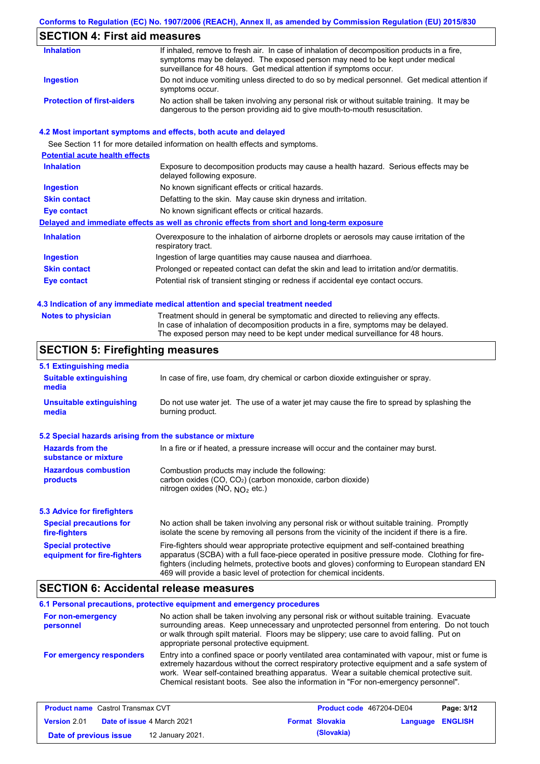## **SECTION 4: First aid measures**

| <b>Inhalation</b>                 | If inhaled, remove to fresh air. In case of inhalation of decomposition products in a fire,<br>symptoms may be delayed. The exposed person may need to be kept under medical<br>surveillance for 48 hours. Get medical attention if symptoms occur. |
|-----------------------------------|-----------------------------------------------------------------------------------------------------------------------------------------------------------------------------------------------------------------------------------------------------|
| Ingestion                         | Do not induce vomiting unless directed to do so by medical personnel. Get medical attention if<br>symptoms occur.                                                                                                                                   |
| <b>Protection of first-aiders</b> | No action shall be taken involving any personal risk or without suitable training. It may be<br>dangerous to the person providing aid to give mouth-to-mouth resuscitation.                                                                         |

### **4.2 Most important symptoms and effects, both acute and delayed**

See Section 11 for more detailed information on health effects and symptoms. **Potential acute health effects Inhalation** Exposure to decomposition products may cause a health hazard. Serious effects may be delayed following exposure. **Ingestion** No known significant effects or critical hazards. **Skin contact** Defatting to the skin. May cause skin dryness and irritation. **Eye contact** No known significant effects or critical hazards. **Delayed and immediate effects as well as chronic effects from short and long-term exposure Inhalation Ingestion Skin contact Eye contact** Overexposure to the inhalation of airborne droplets or aerosols may cause irritation of the respiratory tract. Ingestion of large quantities may cause nausea and diarrhoea. Prolonged or repeated contact can defat the skin and lead to irritation and/or dermatitis. Potential risk of transient stinging or redness if accidental eye contact occurs.

#### **4.3 Indication of any immediate medical attention and special treatment needed**

| <b>Notes to physician</b> |  |  |  |
|---------------------------|--|--|--|

Treatment should in general be symptomatic and directed to relieving any effects. In case of inhalation of decomposition products in a fire, symptoms may be delayed. The exposed person may need to be kept under medical surveillance for 48 hours.

## **SECTION 5: Firefighting measures**

| 5.1 Extinguishing media                                   |                                                                                                                                                                                                                                                                                                                                                                   |
|-----------------------------------------------------------|-------------------------------------------------------------------------------------------------------------------------------------------------------------------------------------------------------------------------------------------------------------------------------------------------------------------------------------------------------------------|
| <b>Suitable extinguishing</b><br>media                    | In case of fire, use foam, dry chemical or carbon dioxide extinguisher or spray.                                                                                                                                                                                                                                                                                  |
| <b>Unsuitable extinguishing</b><br>media                  | Do not use water jet. The use of a water jet may cause the fire to spread by splashing the<br>burning product.                                                                                                                                                                                                                                                    |
| 5.2 Special hazards arising from the substance or mixture |                                                                                                                                                                                                                                                                                                                                                                   |
| <b>Hazards from the</b><br>substance or mixture           | In a fire or if heated, a pressure increase will occur and the container may burst.                                                                                                                                                                                                                                                                               |
| <b>Hazardous combustion</b><br>products                   | Combustion products may include the following:<br>carbon oxides (CO, CO <sub>2</sub> ) (carbon monoxide, carbon dioxide)<br>nitrogen oxides (NO, $NO2$ etc.)                                                                                                                                                                                                      |
| 5.3 Advice for firefighters                               |                                                                                                                                                                                                                                                                                                                                                                   |
| <b>Special precautions for</b><br>fire-fighters           | No action shall be taken involving any personal risk or without suitable training. Promptly<br>isolate the scene by removing all persons from the vicinity of the incident if there is a fire.                                                                                                                                                                    |
| <b>Special protective</b><br>equipment for fire-fighters  | Fire-fighters should wear appropriate protective equipment and self-contained breathing<br>apparatus (SCBA) with a full face-piece operated in positive pressure mode. Clothing for fire-<br>fighters (including helmets, protective boots and gloves) conforming to European standard EN<br>469 will provide a basic level of protection for chemical incidents. |

### **SECTION 6: Accidental release measures**

|                                | 6.1 Personal precautions, protective equipment and emergency procedures                                                                                                                                                                                                                                                                                                              |
|--------------------------------|--------------------------------------------------------------------------------------------------------------------------------------------------------------------------------------------------------------------------------------------------------------------------------------------------------------------------------------------------------------------------------------|
| For non-emergency<br>personnel | No action shall be taken involving any personal risk or without suitable training. Evacuate<br>surrounding areas. Keep unnecessary and unprotected personnel from entering. Do not touch<br>or walk through spilt material. Floors may be slippery; use care to avoid falling. Put on<br>appropriate personal protective equipment.                                                  |
| For emergency responders       | Entry into a confined space or poorly ventilated area contaminated with vapour, mist or fume is<br>extremely hazardous without the correct respiratory protective equipment and a safe system of<br>work. Wear self-contained breathing apparatus. Wear a suitable chemical protective suit.<br>Chemical resistant boots. See also the information in "For non-emergency personnel". |

| <b>Product name</b> Castrol Transmax CVT |  | <b>Product code</b> 467204-DE04   |  | Page: 3/12             |                         |  |
|------------------------------------------|--|-----------------------------------|--|------------------------|-------------------------|--|
| <b>Version 2.01</b>                      |  | <b>Date of issue 4 March 2021</b> |  | <b>Format Slovakia</b> | <b>Language ENGLISH</b> |  |
| Date of previous issue                   |  | 12 January 2021.                  |  | (Slovakia)             |                         |  |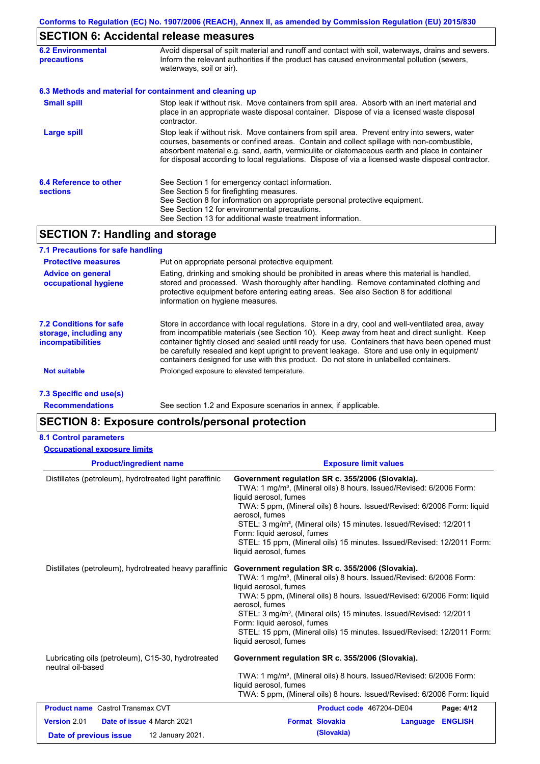# **SECTION 6: Accidental release measures**

| <b>6.2 Environmental</b><br><b>precautions</b> | Avoid dispersal of spilt material and runoff and contact with soil, waterways, drains and sewers.<br>Inform the relevant authorities if the product has caused environmental pollution (sewers,<br>waterways, soil or air).                                                                                                                                                                    |  |  |
|------------------------------------------------|------------------------------------------------------------------------------------------------------------------------------------------------------------------------------------------------------------------------------------------------------------------------------------------------------------------------------------------------------------------------------------------------|--|--|
|                                                | 6.3 Methods and material for containment and cleaning up                                                                                                                                                                                                                                                                                                                                       |  |  |
| <b>Small spill</b>                             | Stop leak if without risk. Move containers from spill area. Absorb with an inert material and<br>place in an appropriate waste disposal container. Dispose of via a licensed waste disposal<br>contractor.                                                                                                                                                                                     |  |  |
| <b>Large spill</b>                             | Stop leak if without risk. Move containers from spill area. Prevent entry into sewers, water<br>courses, basements or confined areas. Contain and collect spillage with non-combustible,<br>absorbent material e.g. sand, earth, vermiculite or diatomaceous earth and place in container<br>for disposal according to local regulations. Dispose of via a licensed waste disposal contractor. |  |  |
| 6.4 Reference to other<br><b>sections</b>      | See Section 1 for emergency contact information.<br>See Section 5 for firefighting measures.<br>See Section 8 for information on appropriate personal protective equipment.<br>See Section 12 for environmental precautions.<br>See Section 13 for additional waste treatment information.                                                                                                     |  |  |

# **SECTION 7: Handling and storage**

| 7.1 Precautions for safe handling                                                    |                                                                                                                                                                                                                                                                                                                                                                                                                                                                                          |
|--------------------------------------------------------------------------------------|------------------------------------------------------------------------------------------------------------------------------------------------------------------------------------------------------------------------------------------------------------------------------------------------------------------------------------------------------------------------------------------------------------------------------------------------------------------------------------------|
| <b>Protective measures</b>                                                           | Put on appropriate personal protective equipment.                                                                                                                                                                                                                                                                                                                                                                                                                                        |
| <b>Advice on general</b><br>occupational hygiene                                     | Eating, drinking and smoking should be prohibited in areas where this material is handled,<br>stored and processed. Wash thoroughly after handling. Remove contaminated clothing and<br>protective equipment before entering eating areas. See also Section 8 for additional<br>information on hygiene measures.                                                                                                                                                                         |
| <b>7.2 Conditions for safe</b><br>storage, including any<br><b>incompatibilities</b> | Store in accordance with local requlations. Store in a dry, cool and well-ventilated area, away<br>from incompatible materials (see Section 10). Keep away from heat and direct sunlight. Keep<br>container tightly closed and sealed until ready for use. Containers that have been opened must<br>be carefully resealed and kept upright to prevent leakage. Store and use only in equipment/<br>containers designed for use with this product. Do not store in unlabelled containers. |
| <b>Not suitable</b>                                                                  | Prolonged exposure to elevated temperature.                                                                                                                                                                                                                                                                                                                                                                                                                                              |
| 7.3 Specific end use(s)                                                              |                                                                                                                                                                                                                                                                                                                                                                                                                                                                                          |

**Recommendations**

See section 1.2 and Exposure scenarios in annex, if applicable.

# **SECTION 8: Exposure controls/personal protection**

### **8.1 Control parameters**

| <b>Occupational exposure limits</b>                                                      |                                                                                                                                                                                                                                                                                                                                                                                                                                                                               |
|------------------------------------------------------------------------------------------|-------------------------------------------------------------------------------------------------------------------------------------------------------------------------------------------------------------------------------------------------------------------------------------------------------------------------------------------------------------------------------------------------------------------------------------------------------------------------------|
| <b>Product/ingredient name</b>                                                           | <b>Exposure limit values</b>                                                                                                                                                                                                                                                                                                                                                                                                                                                  |
| Distillates (petroleum), hydrotreated light paraffinic                                   | Government regulation SR c. 355/2006 (Slovakia).<br>TWA: 1 mg/m <sup>3</sup> , (Mineral oils) 8 hours. Issued/Revised: 6/2006 Form:<br>liquid aerosol, fumes<br>TWA: 5 ppm, (Mineral oils) 8 hours. Issued/Revised: 6/2006 Form: liquid<br>aerosol, fumes<br>STEL: 3 mg/m <sup>3</sup> , (Mineral oils) 15 minutes. Issued/Revised: 12/2011<br>Form: liquid aerosol, fumes<br>STEL: 15 ppm, (Mineral oils) 15 minutes. Issued/Revised: 12/2011 Form:<br>liquid aerosol, fumes |
| Distillates (petroleum), hydrotreated heavy paraffinic                                   | Government regulation SR c. 355/2006 (Slovakia).<br>TWA: 1 mg/m <sup>3</sup> , (Mineral oils) 8 hours. Issued/Revised: 6/2006 Form:<br>liquid aerosol, fumes<br>TWA: 5 ppm, (Mineral oils) 8 hours. Issued/Revised: 6/2006 Form: liquid<br>aerosol, fumes<br>STEL: 3 mg/m <sup>3</sup> , (Mineral oils) 15 minutes. Issued/Revised: 12/2011<br>Form: liquid aerosol, fumes<br>STEL: 15 ppm, (Mineral oils) 15 minutes. Issued/Revised: 12/2011 Form:<br>liquid aerosol, fumes |
| Lubricating oils (petroleum), C15-30, hydrotreated<br>neutral oil-based                  | Government regulation SR c. 355/2006 (Slovakia).<br>TWA: 1 mg/m <sup>3</sup> , (Mineral oils) 8 hours. Issued/Revised: 6/2006 Form:<br>liquid aerosol, fumes<br>TWA: 5 ppm, (Mineral oils) 8 hours. Issued/Revised: 6/2006 Form: liquid                                                                                                                                                                                                                                       |
| <b>Product name</b> Castrol Transmax CVT                                                 | Product code 467204-DE04<br>Page: 4/12                                                                                                                                                                                                                                                                                                                                                                                                                                        |
| Version 2.01<br>Date of issue 4 March 2021<br>12 January 2021.<br>Date of previous issue | <b>Format Slovakia</b><br><b>ENGLISH</b><br>Language<br>(Slovakia)                                                                                                                                                                                                                                                                                                                                                                                                            |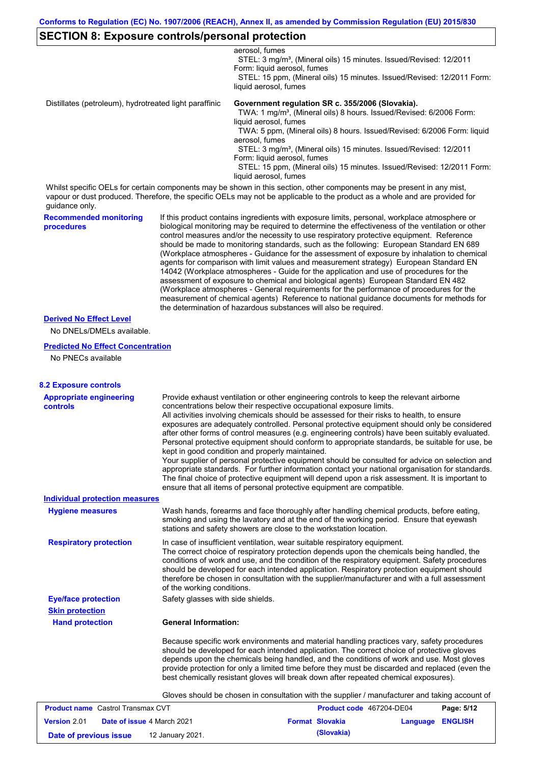### **SECTION 8: Exposure controls/personal protection**

aerosol, fumes

STEL: 3 mg/m<sup>3</sup>, (Mineral oils) 15 minutes. Issued/Revised: 12/2011 Form: liquid aerosol, fumes STEL: 15 ppm, (Mineral oils) 15 minutes. Issued/Revised: 12/2011 Form: liquid aerosol, fumes

Distillates (petroleum), hydrotreated light paraffinic **Government regulation SR c. 355/2006 (Slovakia).**

TWA: 1 mg/m<sup>3</sup>, (Mineral oils) 8 hours. Issued/Revised: 6/2006 Form: liquid aerosol, fumes

 TWA: 5 ppm, (Mineral oils) 8 hours. Issued/Revised: 6/2006 Form: liquid aerosol, fumes

STEL: 3 mg/m<sup>3</sup>, (Mineral oils) 15 minutes. Issued/Revised: 12/2011 Form: liquid aerosol, fumes

 STEL: 15 ppm, (Mineral oils) 15 minutes. Issued/Revised: 12/2011 Form: liquid aerosol, fumes

Whilst specific OELs for certain components may be shown in this section, other components may be present in any mist, vapour or dust produced. Therefore, the specific OELs may not be applicable to the product as a whole and are provided for guidance only.

**Recommended monitoring procedures**

If this product contains ingredients with exposure limits, personal, workplace atmosphere or biological monitoring may be required to determine the effectiveness of the ventilation or other control measures and/or the necessity to use respiratory protective equipment. Reference should be made to monitoring standards, such as the following: European Standard EN 689 (Workplace atmospheres - Guidance for the assessment of exposure by inhalation to chemical agents for comparison with limit values and measurement strategy) European Standard EN 14042 (Workplace atmospheres - Guide for the application and use of procedures for the assessment of exposure to chemical and biological agents) European Standard EN 482 (Workplace atmospheres - General requirements for the performance of procedures for the measurement of chemical agents) Reference to national guidance documents for methods for the determination of hazardous substances will also be required.

### **Derived No Effect Level**

No DNELs/DMELs available.

#### **Predicted No Effect Concentration**

No PNECs available

| <b>8.2 Exposure controls</b>                      |                                                                                                                                                                                                                                                                                                                                                                                                                                                                                                                                                                                                                                                                                                                                                                                                                                                                                                                                                                                                         |
|---------------------------------------------------|---------------------------------------------------------------------------------------------------------------------------------------------------------------------------------------------------------------------------------------------------------------------------------------------------------------------------------------------------------------------------------------------------------------------------------------------------------------------------------------------------------------------------------------------------------------------------------------------------------------------------------------------------------------------------------------------------------------------------------------------------------------------------------------------------------------------------------------------------------------------------------------------------------------------------------------------------------------------------------------------------------|
| <b>Appropriate engineering</b><br><b>controls</b> | Provide exhaust ventilation or other engineering controls to keep the relevant airborne<br>concentrations below their respective occupational exposure limits.<br>All activities involving chemicals should be assessed for their risks to health, to ensure<br>exposures are adequately controlled. Personal protective equipment should only be considered<br>after other forms of control measures (e.g. engineering controls) have been suitably evaluated.<br>Personal protective equipment should conform to appropriate standards, be suitable for use, be<br>kept in good condition and properly maintained.<br>Your supplier of personal protective equipment should be consulted for advice on selection and<br>appropriate standards. For further information contact your national organisation for standards.<br>The final choice of protective equipment will depend upon a risk assessment. It is important to<br>ensure that all items of personal protective equipment are compatible. |
| <b>Individual protection measures</b>             |                                                                                                                                                                                                                                                                                                                                                                                                                                                                                                                                                                                                                                                                                                                                                                                                                                                                                                                                                                                                         |
| <b>Hygiene measures</b>                           | Wash hands, forearms and face thoroughly after handling chemical products, before eating,<br>smoking and using the lavatory and at the end of the working period. Ensure that eyewash<br>stations and safety showers are close to the workstation location.                                                                                                                                                                                                                                                                                                                                                                                                                                                                                                                                                                                                                                                                                                                                             |
| <b>Respiratory protection</b>                     | In case of insufficient ventilation, wear suitable respiratory equipment.<br>The correct choice of respiratory protection depends upon the chemicals being handled, the<br>conditions of work and use, and the condition of the respiratory equipment. Safety procedures<br>should be developed for each intended application. Respiratory protection equipment should<br>therefore be chosen in consultation with the supplier/manufacturer and with a full assessment<br>of the working conditions.                                                                                                                                                                                                                                                                                                                                                                                                                                                                                                   |
| <b>Eye/face protection</b>                        | Safety glasses with side shields.                                                                                                                                                                                                                                                                                                                                                                                                                                                                                                                                                                                                                                                                                                                                                                                                                                                                                                                                                                       |
| <b>Skin protection</b>                            |                                                                                                                                                                                                                                                                                                                                                                                                                                                                                                                                                                                                                                                                                                                                                                                                                                                                                                                                                                                                         |
| <b>Hand protection</b>                            | <b>General Information:</b>                                                                                                                                                                                                                                                                                                                                                                                                                                                                                                                                                                                                                                                                                                                                                                                                                                                                                                                                                                             |
|                                                   | Because specific work environments and material handling practices vary, safety procedures<br>should be developed for each intended application. The correct choice of protective gloves<br>depends upon the chemicals being handled, and the conditions of work and use. Most gloves<br>provide protection for only a limited time before they must be discarded and replaced (even the<br>best chemically resistant gloves will break down after repeated chemical exposures).                                                                                                                                                                                                                                                                                                                                                                                                                                                                                                                        |
|                                                   | Gloves should be chosen in consultation with the supplier / manufacturer and taking account of                                                                                                                                                                                                                                                                                                                                                                                                                                                                                                                                                                                                                                                                                                                                                                                                                                                                                                          |
| <b>Product name</b> Castrol Transmax CVT          | Product code 467204-DE04<br>Page: 5/12                                                                                                                                                                                                                                                                                                                                                                                                                                                                                                                                                                                                                                                                                                                                                                                                                                                                                                                                                                  |
| <b>Version 2.01</b>                               | Date of issue 4 March 2021<br><b>Format Slovakia</b><br><b>ENGLISH</b><br>Language                                                                                                                                                                                                                                                                                                                                                                                                                                                                                                                                                                                                                                                                                                                                                                                                                                                                                                                      |
| Date of previous issue                            | (Slovakia)<br>12 January 2021.                                                                                                                                                                                                                                                                                                                                                                                                                                                                                                                                                                                                                                                                                                                                                                                                                                                                                                                                                                          |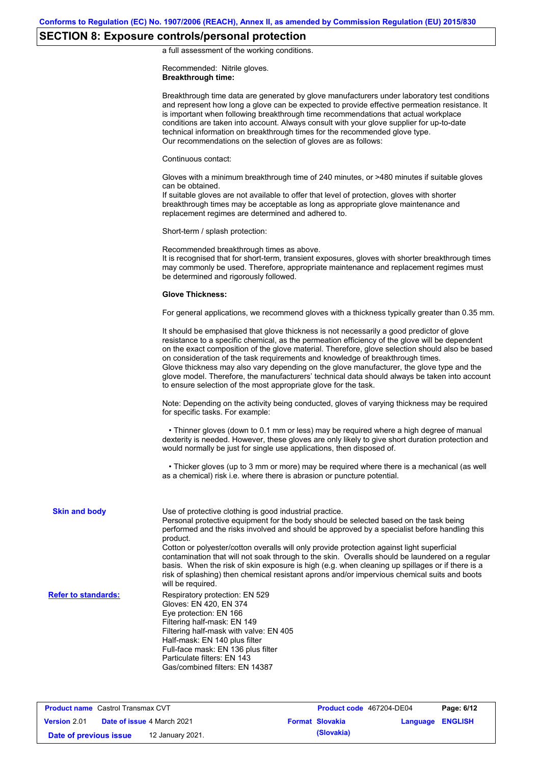# **SECTION 8: Exposure controls/personal protection**

a full assessment of the working conditions.

Recommended: Nitrile gloves. **Breakthrough time:**

|                            | Breakthrough time data are generated by glove manufacturers under laboratory test conditions<br>and represent how long a glove can be expected to provide effective permeation resistance. It<br>is important when following breakthrough time recommendations that actual workplace<br>conditions are taken into account. Always consult with your glove supplier for up-to-date<br>technical information on breakthrough times for the recommended glove type.<br>Our recommendations on the selection of gloves are as follows:                                                                                                                                                    |
|----------------------------|---------------------------------------------------------------------------------------------------------------------------------------------------------------------------------------------------------------------------------------------------------------------------------------------------------------------------------------------------------------------------------------------------------------------------------------------------------------------------------------------------------------------------------------------------------------------------------------------------------------------------------------------------------------------------------------|
|                            | Continuous contact:                                                                                                                                                                                                                                                                                                                                                                                                                                                                                                                                                                                                                                                                   |
|                            | Gloves with a minimum breakthrough time of 240 minutes, or >480 minutes if suitable gloves<br>can be obtained.<br>If suitable gloves are not available to offer that level of protection, gloves with shorter<br>breakthrough times may be acceptable as long as appropriate glove maintenance and<br>replacement regimes are determined and adhered to.                                                                                                                                                                                                                                                                                                                              |
|                            | Short-term / splash protection:                                                                                                                                                                                                                                                                                                                                                                                                                                                                                                                                                                                                                                                       |
|                            | Recommended breakthrough times as above.<br>It is recognised that for short-term, transient exposures, gloves with shorter breakthrough times<br>may commonly be used. Therefore, appropriate maintenance and replacement regimes must<br>be determined and rigorously followed.                                                                                                                                                                                                                                                                                                                                                                                                      |
|                            | <b>Glove Thickness:</b>                                                                                                                                                                                                                                                                                                                                                                                                                                                                                                                                                                                                                                                               |
|                            | For general applications, we recommend gloves with a thickness typically greater than 0.35 mm.                                                                                                                                                                                                                                                                                                                                                                                                                                                                                                                                                                                        |
|                            | It should be emphasised that glove thickness is not necessarily a good predictor of glove<br>resistance to a specific chemical, as the permeation efficiency of the glove will be dependent<br>on the exact composition of the glove material. Therefore, glove selection should also be based<br>on consideration of the task requirements and knowledge of breakthrough times.<br>Glove thickness may also vary depending on the glove manufacturer, the glove type and the<br>glove model. Therefore, the manufacturers' technical data should always be taken into account<br>to ensure selection of the most appropriate glove for the task.                                     |
|                            | Note: Depending on the activity being conducted, gloves of varying thickness may be required<br>for specific tasks. For example:                                                                                                                                                                                                                                                                                                                                                                                                                                                                                                                                                      |
|                            | • Thinner gloves (down to 0.1 mm or less) may be required where a high degree of manual<br>dexterity is needed. However, these gloves are only likely to give short duration protection and<br>would normally be just for single use applications, then disposed of.                                                                                                                                                                                                                                                                                                                                                                                                                  |
|                            | • Thicker gloves (up to 3 mm or more) may be required where there is a mechanical (as well<br>as a chemical) risk i.e. where there is abrasion or puncture potential.                                                                                                                                                                                                                                                                                                                                                                                                                                                                                                                 |
| <b>Skin and body</b>       | Use of protective clothing is good industrial practice.<br>Personal protective equipment for the body should be selected based on the task being<br>performed and the risks involved and should be approved by a specialist before handling this<br>product.<br>Cotton or polyester/cotton overalls will only provide protection against light superficial<br>contamination that will not soak through to the skin. Overalls should be laundered on a regular<br>basis. When the risk of skin exposure is high (e.g. when cleaning up spillages or if there is a<br>risk of splashing) then chemical resistant aprons and/or impervious chemical suits and boots<br>will be required. |
| <b>Refer to standards:</b> | Respiratory protection: EN 529<br>Gloves: EN 420, EN 374<br>Eye protection: EN 166<br>Filtering half-mask: EN 149<br>Filtering half-mask with valve: EN 405<br>Half-mask: EN 140 plus filter<br>Full-face mask: EN 136 plus filter<br>Particulate filters: EN 143<br>Gas/combined filters: EN 14387                                                                                                                                                                                                                                                                                                                                                                                   |

**Product name** Castrol Transmax CVT **Version** 2.01 **Product code** 467204-DE04 **Page: 6/12 Date of issue** 4 March 2021 **Format Slovakia Language ENGLISH Date of previous issue (Slovakia)** 12 January 2021.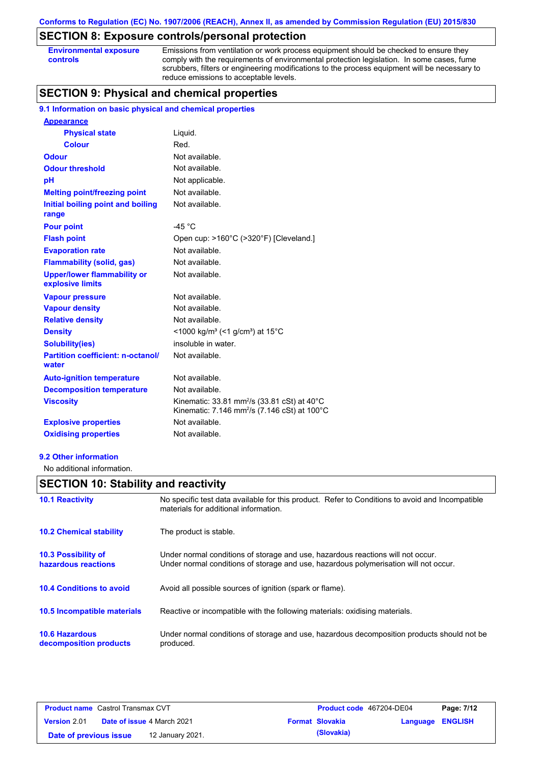# **SECTION 8: Exposure controls/personal protection**

| <b>Environmental exposure</b> |  |
|-------------------------------|--|
| controls                      |  |

Emissions from ventilation or work process equipment should be checked to ensure they comply with the requirements of environmental protection legislation. In some cases, fume scrubbers, filters or engineering modifications to the process equipment will be necessary to reduce emissions to acceptable levels.

# **SECTION 9: Physical and chemical properties**

### **9.1 Information on basic physical and chemical properties**

| <b>Appearance</b>                                      |                                                                                                                                                      |
|--------------------------------------------------------|------------------------------------------------------------------------------------------------------------------------------------------------------|
| <b>Physical state</b>                                  | Liquid.                                                                                                                                              |
| <b>Colour</b>                                          | Red.                                                                                                                                                 |
| <b>Odour</b>                                           | Not available.                                                                                                                                       |
| <b>Odour threshold</b>                                 | Not available.                                                                                                                                       |
| pH                                                     | Not applicable.                                                                                                                                      |
| <b>Melting point/freezing point</b>                    | Not available.                                                                                                                                       |
| Initial boiling point and boiling<br>range             | Not available.                                                                                                                                       |
| <b>Pour point</b>                                      | -45 $^{\circ}$ C                                                                                                                                     |
| <b>Flash point</b>                                     | Open cup: >160°C (>320°F) [Cleveland.]                                                                                                               |
| <b>Evaporation rate</b>                                | Not available.                                                                                                                                       |
| <b>Flammability (solid, gas)</b>                       | Not available.                                                                                                                                       |
| <b>Upper/lower flammability or</b><br>explosive limits | Not available.                                                                                                                                       |
| <b>Vapour pressure</b>                                 | Not available.                                                                                                                                       |
| <b>Vapour density</b>                                  | Not available.                                                                                                                                       |
| <b>Relative density</b>                                | Not available.                                                                                                                                       |
| <b>Density</b>                                         | <1000 kg/m <sup>3</sup> (<1 g/cm <sup>3</sup> ) at 15°C                                                                                              |
| <b>Solubility(ies)</b>                                 | insoluble in water.                                                                                                                                  |
| <b>Partition coefficient: n-octanol/</b><br>water      | Not available.                                                                                                                                       |
| <b>Auto-ignition temperature</b>                       | Not available.                                                                                                                                       |
| <b>Decomposition temperature</b>                       | Not available.                                                                                                                                       |
| <b>Viscosity</b>                                       | Kinematic: $33.81$ mm <sup>2</sup> /s $(33.81 \text{ cSt})$ at $40^{\circ}$ C<br>Kinematic: 7.146 mm <sup>2</sup> /s (7.146 cSt) at 100 $^{\circ}$ C |
| <b>Explosive properties</b>                            | Not available.                                                                                                                                       |
| <b>Oxidising properties</b>                            | Not available.                                                                                                                                       |

#### **9.2 Other information**

No additional information.

# **SECTION 10: Stability and reactivity**

| <b>10.1 Reactivity</b>                            | No specific test data available for this product. Refer to Conditions to avoid and Incompatible<br>materials for additional information.                                |
|---------------------------------------------------|-------------------------------------------------------------------------------------------------------------------------------------------------------------------------|
| <b>10.2 Chemical stability</b>                    | The product is stable.                                                                                                                                                  |
| <b>10.3 Possibility of</b><br>hazardous reactions | Under normal conditions of storage and use, hazardous reactions will not occur.<br>Under normal conditions of storage and use, hazardous polymerisation will not occur. |
| <b>10.4 Conditions to avoid</b>                   | Avoid all possible sources of ignition (spark or flame).                                                                                                                |
| 10.5 Incompatible materials                       | Reactive or incompatible with the following materials: oxidising materials.                                                                                             |
| <b>10.6 Hazardous</b><br>decomposition products   | Under normal conditions of storage and use, hazardous decomposition products should not be<br>produced.                                                                 |

| <b>Product name</b> Castrol Transmax CVT |  |                                   | <b>Product code</b> 467204-DE04 | Page: 7/12             |                  |  |
|------------------------------------------|--|-----------------------------------|---------------------------------|------------------------|------------------|--|
| <b>Version 2.01</b>                      |  | <b>Date of issue 4 March 2021</b> |                                 | <b>Format Slovakia</b> | Language ENGLISH |  |
| Date of previous issue                   |  | 12 January 2021.                  |                                 | (Slovakia)             |                  |  |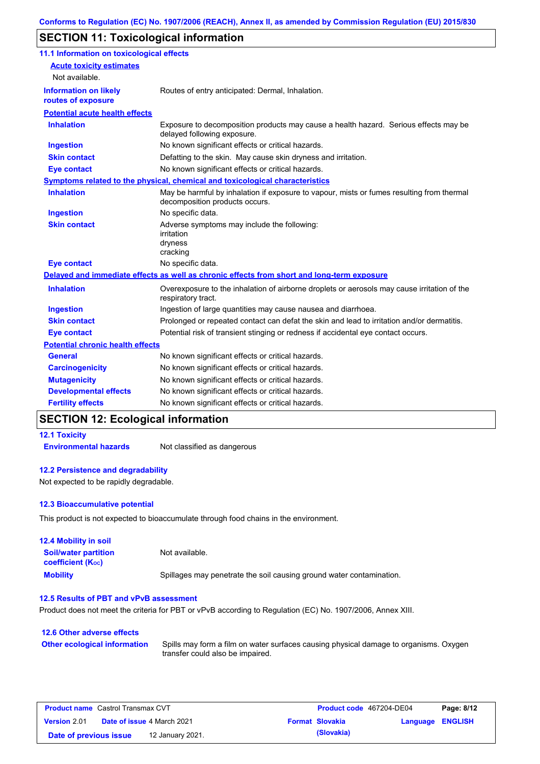# **SECTION 11: Toxicological information**

| 11.1 Information on toxicological effects          |                                                                                                                             |
|----------------------------------------------------|-----------------------------------------------------------------------------------------------------------------------------|
| <b>Acute toxicity estimates</b>                    |                                                                                                                             |
| Not available.                                     |                                                                                                                             |
| <b>Information on likely</b><br>routes of exposure | Routes of entry anticipated: Dermal, Inhalation.                                                                            |
| <b>Potential acute health effects</b>              |                                                                                                                             |
| <b>Inhalation</b>                                  | Exposure to decomposition products may cause a health hazard. Serious effects may be<br>delayed following exposure.         |
| <b>Ingestion</b>                                   | No known significant effects or critical hazards.                                                                           |
| <b>Skin contact</b>                                | Defatting to the skin. May cause skin dryness and irritation.                                                               |
| <b>Eye contact</b>                                 | No known significant effects or critical hazards.                                                                           |
|                                                    | Symptoms related to the physical, chemical and toxicological characteristics                                                |
| <b>Inhalation</b>                                  | May be harmful by inhalation if exposure to vapour, mists or fumes resulting from thermal<br>decomposition products occurs. |
| <b>Ingestion</b>                                   | No specific data.                                                                                                           |
| <b>Skin contact</b>                                | Adverse symptoms may include the following:<br>irritation<br>dryness<br>cracking                                            |
| <b>Eye contact</b>                                 | No specific data.                                                                                                           |
|                                                    | Delayed and immediate effects as well as chronic effects from short and long-term exposure                                  |
| <b>Inhalation</b>                                  | Overexposure to the inhalation of airborne droplets or aerosols may cause irritation of the<br>respiratory tract.           |
| <b>Ingestion</b>                                   | Ingestion of large quantities may cause nausea and diarrhoea.                                                               |
| <b>Skin contact</b>                                | Prolonged or repeated contact can defat the skin and lead to irritation and/or dermatitis.                                  |
| <b>Eye contact</b>                                 | Potential risk of transient stinging or redness if accidental eye contact occurs.                                           |
| <b>Potential chronic health effects</b>            |                                                                                                                             |
| <b>General</b>                                     | No known significant effects or critical hazards.                                                                           |
| <b>Carcinogenicity</b>                             | No known significant effects or critical hazards.                                                                           |
| <b>Mutagenicity</b>                                | No known significant effects or critical hazards.                                                                           |
| <b>Developmental effects</b>                       | No known significant effects or critical hazards.                                                                           |
| <b>Fertility effects</b>                           | No known significant effects or critical hazards.                                                                           |

# **SECTION 12: Ecological information**

### **12.1 Toxicity**

**Environmental hazards** Not classified as dangerous

### **12.2 Persistence and degradability**

Not expected to be rapidly degradable.

### **12.3 Bioaccumulative potential**

This product is not expected to bioaccumulate through food chains in the environment.

| <b>12.4 Mobility in soil</b>                            |                                                                      |
|---------------------------------------------------------|----------------------------------------------------------------------|
| <b>Soil/water partition</b><br><b>coefficient (Koc)</b> | Not available.                                                       |
| <b>Mobility</b>                                         | Spillages may penetrate the soil causing ground water contamination. |

### **12.5 Results of PBT and vPvB assessment**

Product does not meet the criteria for PBT or vPvB according to Regulation (EC) No. 1907/2006, Annex XIII.

| 12.6 Other adverse effects          |                                                                                                                           |
|-------------------------------------|---------------------------------------------------------------------------------------------------------------------------|
| <b>Other ecological information</b> | Spills may form a film on water surfaces causing physical damage to organisms. Oxygen<br>transfer could also be impaired. |

| <b>Product name</b> Castrol Transmax CVT |  |                                   | <b>Product code</b> 467204-DE04 |                        | Page: 8/12              |  |
|------------------------------------------|--|-----------------------------------|---------------------------------|------------------------|-------------------------|--|
| <b>Version 2.01</b>                      |  | <b>Date of issue 4 March 2021</b> |                                 | <b>Format Slovakia</b> | <b>Language ENGLISH</b> |  |
| Date of previous issue                   |  | 12 January 2021.                  |                                 | (Slovakia)             |                         |  |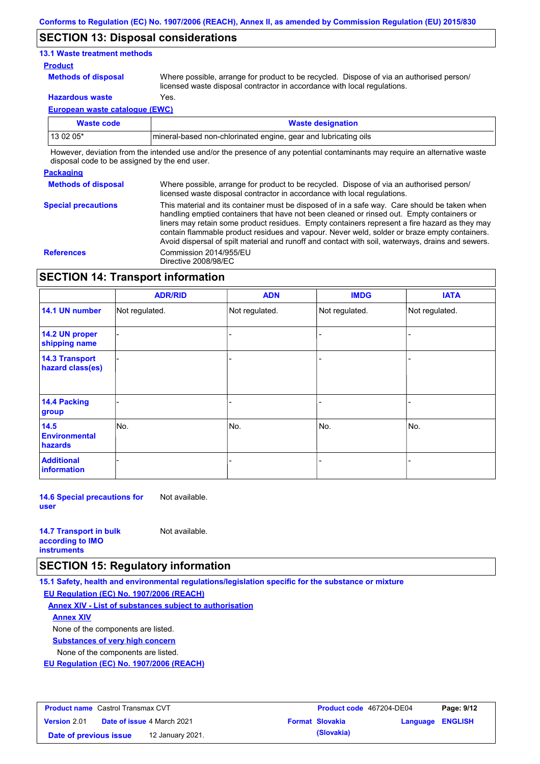### **SECTION 13: Disposal considerations**

### **13.1 Waste treatment methods**

#### **Product**

**Methods of disposal**

Where possible, arrange for product to be recycled. Dispose of via an authorised person/ licensed waste disposal contractor in accordance with local regulations.

**Hazardous waste** Yes.

**European waste catalogue (EWC)**

| Waste code  | <b>Waste designation</b>                                         |  |  |
|-------------|------------------------------------------------------------------|--|--|
| l 13 02 05* | Imineral-based non-chlorinated engine, gear and lubricating oils |  |  |

However, deviation from the intended use and/or the presence of any potential contaminants may require an alternative waste disposal code to be assigned by the end user.

### **Packaging**

**Methods of disposal Special precautions** Where possible, arrange for product to be recycled. Dispose of via an authorised person/ licensed waste disposal contractor in accordance with local regulations.

This material and its container must be disposed of in a safe way. Care should be taken when handling emptied containers that have not been cleaned or rinsed out. Empty containers or liners may retain some product residues. Empty containers represent a fire hazard as they may contain flammable product residues and vapour. Never weld, solder or braze empty containers. Avoid dispersal of spilt material and runoff and contact with soil, waterways, drains and sewers. **References** Commission 2014/955/EU Directive 2008/98/EC

# **SECTION 14: Transport information**

|                                           | <b>ADR/RID</b> | <b>ADN</b>     | <b>IMDG</b>    | <b>IATA</b>    |  |
|-------------------------------------------|----------------|----------------|----------------|----------------|--|
| 14.1 UN number                            | Not regulated. | Not regulated. | Not regulated. | Not regulated. |  |
| 14.2 UN proper<br>shipping name           |                |                | -              |                |  |
| <b>14.3 Transport</b><br>hazard class(es) |                |                | -              |                |  |
| 14.4 Packing<br>group                     |                |                | -              |                |  |
| 14.5<br><b>Environmental</b><br>hazards   | No.            | No.            | No.            | No.            |  |
| <b>Additional</b><br><b>information</b>   |                |                |                |                |  |

**14.6 Special precautions for user** Not available.

| <b>14.7 Transport in bulk</b> | Not available. |
|-------------------------------|----------------|
| according to <b>IMO</b>       |                |
| <b>instruments</b>            |                |

### **SECTION 15: Regulatory information**

**15.1 Safety, health and environmental regulations/legislation specific for the substance or mixture**

**EU Regulation (EC) No. 1907/2006 (REACH)**

**Annex XIV - List of substances subject to authorisation**

**Annex XIV**

None of the components are listed.

**Substances of very high concern**

None of the components are listed.

**EU Regulation (EC) No. 1907/2006 (REACH)**

| <b>Product name</b> Castrol Transmax CVT |                                   |                  | <b>Product code</b> 467204-DE04 |                        | Page: 9/12       |  |
|------------------------------------------|-----------------------------------|------------------|---------------------------------|------------------------|------------------|--|
| <b>Version 2.01</b>                      | <b>Date of issue 4 March 2021</b> |                  |                                 | <b>Format Slovakia</b> | Language ENGLISH |  |
| Date of previous issue                   |                                   | 12 January 2021. |                                 | (Slovakia)             |                  |  |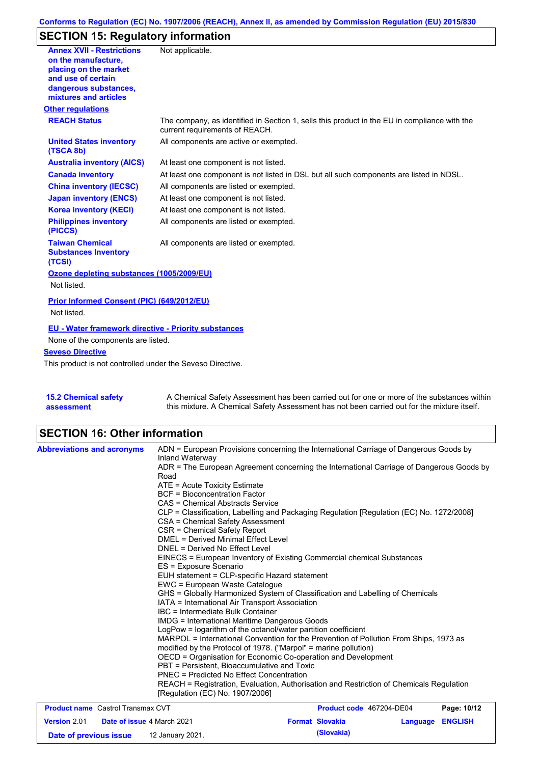# **SECTION 15: Regulatory information**

| <b>Annex XVII - Restrictions</b><br>on the manufacture.<br>placing on the market<br>and use of certain | Not applicable.                                                                                                                |
|--------------------------------------------------------------------------------------------------------|--------------------------------------------------------------------------------------------------------------------------------|
| dangerous substances,<br>mixtures and articles                                                         |                                                                                                                                |
| <b>Other regulations</b>                                                                               |                                                                                                                                |
| <b>REACH Status</b>                                                                                    | The company, as identified in Section 1, sells this product in the EU in compliance with the<br>current requirements of REACH. |
| <b>United States inventory</b><br>(TSCA 8b)                                                            | All components are active or exempted.                                                                                         |
| <b>Australia inventory (AICS)</b>                                                                      | At least one component is not listed.                                                                                          |
| <b>Canada inventory</b>                                                                                | At least one component is not listed in DSL but all such components are listed in NDSL.                                        |
| <b>China inventory (IECSC)</b>                                                                         | All components are listed or exempted.                                                                                         |
| <b>Japan inventory (ENCS)</b>                                                                          | At least one component is not listed.                                                                                          |
| <b>Korea inventory (KECI)</b>                                                                          | At least one component is not listed.                                                                                          |
| <b>Philippines inventory</b><br>(PICCS)                                                                | All components are listed or exempted.                                                                                         |
| <b>Taiwan Chemical</b><br><b>Substances Inventory</b><br>(TCSI)                                        | All components are listed or exempted.                                                                                         |
| Ozone depleting substances (1005/2009/EU)                                                              |                                                                                                                                |
| Not listed.                                                                                            |                                                                                                                                |
| Prior Informed Consent (PIC) (649/2012/EU)<br>Not listed.                                              |                                                                                                                                |
| EU - Water framework directive - Priority substances                                                   |                                                                                                                                |
| None of the components are listed.                                                                     |                                                                                                                                |
| <b>Seveso Directive</b>                                                                                |                                                                                                                                |
| This product is not controlled under the Seveso Directive.                                             |                                                                                                                                |
| オート・ペレー しょうしょうしょうせい                                                                                    | A Observation I On Earth A concerns and home is a constant of contract $\mathbf{r}$                                            |

| <b>15.2 Chemical safety</b> | A Chemical Safety Assessment has been carried out for one or more of the substances within  |
|-----------------------------|---------------------------------------------------------------------------------------------|
| assessment                  | this mixture. A Chemical Safety Assessment has not been carried out for the mixture itself. |

# **SECTION 16: Other information**

|                                          |  |                                                                                                                                                                                                                                                                                                                                                                                                                                                                                                                                                                                                                                                                                                                                                                                                                                                                                                                                                                              | Product code 467204-DE04                                                              | Page: 10/12 |
|------------------------------------------|--|------------------------------------------------------------------------------------------------------------------------------------------------------------------------------------------------------------------------------------------------------------------------------------------------------------------------------------------------------------------------------------------------------------------------------------------------------------------------------------------------------------------------------------------------------------------------------------------------------------------------------------------------------------------------------------------------------------------------------------------------------------------------------------------------------------------------------------------------------------------------------------------------------------------------------------------------------------------------------|---------------------------------------------------------------------------------------|-------------|
|                                          |  |                                                                                                                                                                                                                                                                                                                                                                                                                                                                                                                                                                                                                                                                                                                                                                                                                                                                                                                                                                              |                                                                                       |             |
| <b>Product name</b> Castrol Transmax CVT |  | DNEL = Derived No Effect Level<br>EINECS = European Inventory of Existing Commercial chemical Substances<br>ES = Exposure Scenario<br>EUH statement = CLP-specific Hazard statement<br>EWC = European Waste Catalogue<br>GHS = Globally Harmonized System of Classification and Labelling of Chemicals<br>IATA = International Air Transport Association<br>IBC = Intermediate Bulk Container<br><b>IMDG</b> = International Maritime Dangerous Goods<br>LogPow = logarithm of the octanol/water partition coefficient<br>MARPOL = International Convention for the Prevention of Pollution From Ships, 1973 as<br>modified by the Protocol of 1978. ("Marpol" = marine pollution)<br>OECD = Organisation for Economic Co-operation and Development<br>PBT = Persistent, Bioaccumulative and Toxic<br>PNEC = Predicted No Effect Concentration<br>REACH = Registration, Evaluation, Authorisation and Restriction of Chemicals Regulation<br>[Regulation (EC) No. 1907/2006] |                                                                                       |             |
|                                          |  | Inland Waterway<br>ADR = The European Agreement concerning the International Carriage of Dangerous Goods by<br>Road<br>ATE = Acute Toxicity Estimate<br><b>BCF</b> = Bioconcentration Factor<br>CAS = Chemical Abstracts Service<br>CLP = Classification, Labelling and Packaging Regulation [Regulation (EC) No. 1272/2008]<br>CSA = Chemical Safety Assessment<br>CSR = Chemical Safety Report<br>DMEL = Derived Minimal Effect Level                                                                                                                                                                                                                                                                                                                                                                                                                                                                                                                                      | ADN = European Provisions concerning the International Carriage of Dangerous Goods by |             |

**Date of previous issue (Slovakia)** 12 January 2021.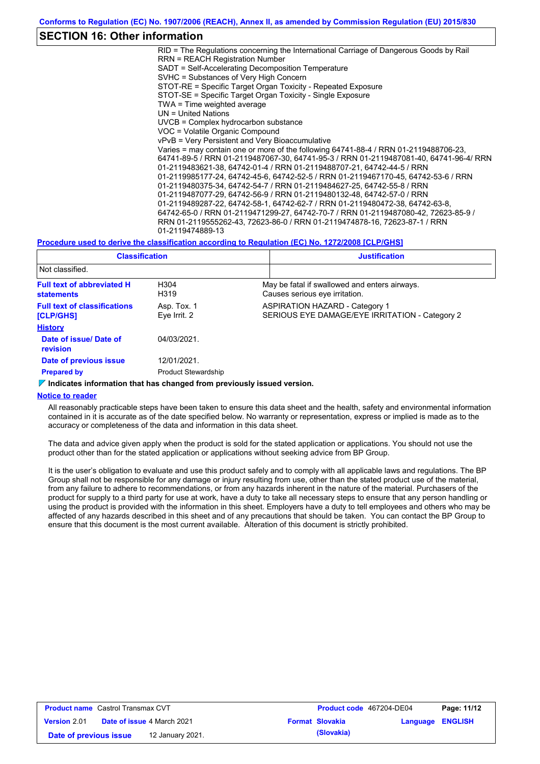## **SECTION 16: Other information**

RID = The Regulations concerning the International Carriage of Dangerous Goods by Rail RRN = REACH Registration Number SADT = Self-Accelerating Decomposition Temperature SVHC = Substances of Very High Concern STOT-RE = Specific Target Organ Toxicity - Repeated Exposure STOT-SE = Specific Target Organ Toxicity - Single Exposure TWA = Time weighted average UN = United Nations UVCB = Complex hydrocarbon substance VOC = Volatile Organic Compound vPvB = Very Persistent and Very Bioaccumulative Varies = may contain one or more of the following 64741-88-4 / RRN 01-2119488706-23, 64741-89-5 / RRN 01-2119487067-30, 64741-95-3 / RRN 01-2119487081-40, 64741-96-4/ RRN 01-2119483621-38, 64742-01-4 / RRN 01-2119488707-21, 64742-44-5 / RRN 01-2119985177-24, 64742-45-6, 64742-52-5 / RRN 01-2119467170-45, 64742-53-6 / RRN 01-2119480375-34, 64742-54-7 / RRN 01-2119484627-25, 64742-55-8 / RRN 01-2119487077-29, 64742-56-9 / RRN 01-2119480132-48, 64742-57-0 / RRN 01-2119489287-22, 64742-58-1, 64742-62-7 / RRN 01-2119480472-38, 64742-63-8, 64742-65-0 / RRN 01-2119471299-27, 64742-70-7 / RRN 01-2119487080-42, 72623-85-9 / RRN 01-2119555262-43, 72623-86-0 / RRN 01-2119474878-16, 72623-87-1 / RRN 01-2119474889-13

#### **Procedure used to derive the classification according to Regulation (EC) No. 1272/2008 [CLP/GHS]**

| <b>Classification</b>                                                              |                             |                                                                                 | <b>Justification</b>                                                                    |  |  |  |
|------------------------------------------------------------------------------------|-----------------------------|---------------------------------------------------------------------------------|-----------------------------------------------------------------------------------------|--|--|--|
| Not classified.                                                                    |                             |                                                                                 |                                                                                         |  |  |  |
| <b>Full text of abbreviated H</b><br>H <sub>304</sub><br>H319<br><b>statements</b> |                             | May be fatal if swallowed and enters airways.<br>Causes serious eye irritation. |                                                                                         |  |  |  |
| <b>Full text of classifications</b><br>[CLP/GHS]                                   | Asp. Tox. 1<br>Eye Irrit. 2 |                                                                                 | <b>ASPIRATION HAZARD - Category 1</b><br>SERIOUS EYE DAMAGE/EYE IRRITATION - Category 2 |  |  |  |
| <b>History</b>                                                                     |                             |                                                                                 |                                                                                         |  |  |  |
| Date of issue/ Date of<br>revision                                                 | 04/03/2021                  |                                                                                 |                                                                                         |  |  |  |
| Date of previous issue                                                             | 12/01/2021.                 |                                                                                 |                                                                                         |  |  |  |
| <b>Prepared by</b>                                                                 | <b>Product Stewardship</b>  |                                                                                 |                                                                                         |  |  |  |

#### **Indicates information that has changed from previously issued version.**

### **Notice to reader**

All reasonably practicable steps have been taken to ensure this data sheet and the health, safety and environmental information contained in it is accurate as of the date specified below. No warranty or representation, express or implied is made as to the accuracy or completeness of the data and information in this data sheet.

The data and advice given apply when the product is sold for the stated application or applications. You should not use the product other than for the stated application or applications without seeking advice from BP Group.

It is the user's obligation to evaluate and use this product safely and to comply with all applicable laws and regulations. The BP Group shall not be responsible for any damage or injury resulting from use, other than the stated product use of the material, from any failure to adhere to recommendations, or from any hazards inherent in the nature of the material. Purchasers of the product for supply to a third party for use at work, have a duty to take all necessary steps to ensure that any person handling or using the product is provided with the information in this sheet. Employers have a duty to tell employees and others who may be affected of any hazards described in this sheet and of any precautions that should be taken. You can contact the BP Group to ensure that this document is the most current available. Alteration of this document is strictly prohibited.

| <b>Product name</b> Castrol Transmax CVT |                                   |                  | <b>Product code</b> 467204-DE04 |                        | Page: 11/12             |  |
|------------------------------------------|-----------------------------------|------------------|---------------------------------|------------------------|-------------------------|--|
| <b>Version 2.01</b>                      | <b>Date of issue 4 March 2021</b> |                  |                                 | <b>Format Slovakia</b> | <b>Language ENGLISH</b> |  |
| Date of previous issue                   |                                   | 12 January 2021. |                                 | (Slovakia)             |                         |  |